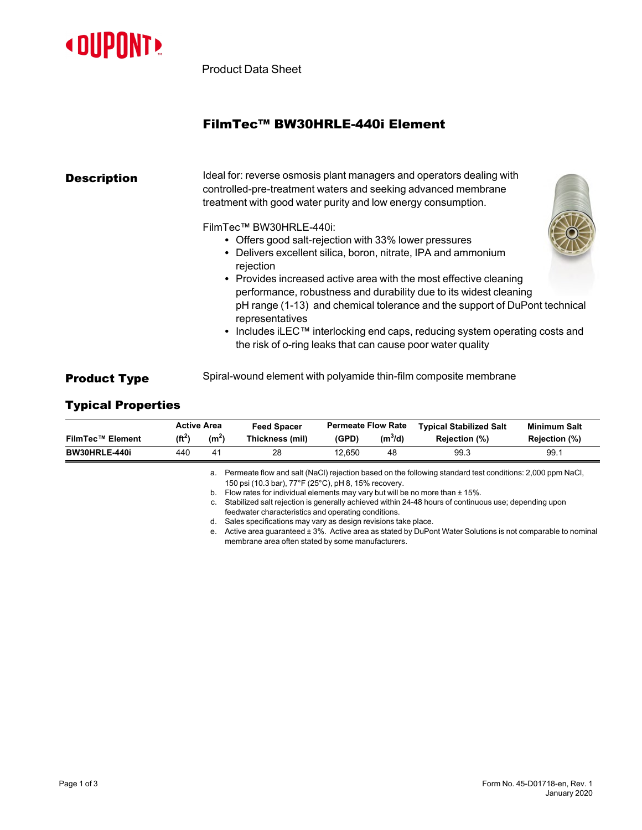

Product Data Sheet

# FilmTec™ BW30HRLE-440i Element

| <b>Description</b> | Ideal for: reverse osmosis plant managers and operators dealing with<br>controlled-pre-treatment waters and seeking advanced membrane<br>treatment with good water purity and low energy consumption.                                                                                                                                                                                                                                                                                                                                                               |
|--------------------|---------------------------------------------------------------------------------------------------------------------------------------------------------------------------------------------------------------------------------------------------------------------------------------------------------------------------------------------------------------------------------------------------------------------------------------------------------------------------------------------------------------------------------------------------------------------|
|                    | FilmTec™ BW30HRLE-440i:<br>• Offers good salt-rejection with 33% lower pressures<br>• Delivers excellent silica, boron, nitrate, IPA and ammonium<br>rejection<br>• Provides increased active area with the most effective cleaning<br>performance, robustness and durability due to its widest cleaning<br>pH range (1-13) and chemical tolerance and the support of DuPont technical<br>representatives<br>• Includes iLEC <sup>TM</sup> interlocking end caps, reducing system operating costs and<br>the risk of o-ring leaks that can cause poor water quality |
|                    |                                                                                                                                                                                                                                                                                                                                                                                                                                                                                                                                                                     |

# **Product Type** Spiral-wound element with polyamide thin-film composite membrane

# Typical Properties

|                         | <b>Active Area</b> |                   | <b>Feed Spacer</b>                                                                 | <b>Permeate Flow Rate</b> |           | <b>Typical Stabilized Salt</b>                                                                              | <b>Minimum Salt</b> |  |  |
|-------------------------|--------------------|-------------------|------------------------------------------------------------------------------------|---------------------------|-----------|-------------------------------------------------------------------------------------------------------------|---------------------|--|--|
| <b>FilmTec™ Element</b> | $(f t^2)$          | (m <sup>2</sup> ) | Thickness (mil)                                                                    | (GPD)                     | $(m^3/d)$ | Rejection (%)                                                                                               | Rejection (%)       |  |  |
| BW30HRLE-440i           | 440                | 41                | 28                                                                                 | 12.650                    | 48        | 99.3                                                                                                        | 99.1                |  |  |
|                         |                    |                   |                                                                                    |                           |           | a. Permeate flow and salt (NaCl) rejection based on the following standard test conditions: 2,000 ppm NaCl, |                     |  |  |
|                         |                    |                   | 150 psi (10.3 bar), 77°F (25°C), pH 8, 15% recovery.                               |                           |           |                                                                                                             |                     |  |  |
|                         |                    |                   | b. Flow rates for individual elements may vary but will be no more than $\pm$ 15%. |                           |           |                                                                                                             |                     |  |  |

c. Stabilized salt rejection is generally achieved within 24-48 hours of continuous use; depending upon feedwater characteristics and operating conditions.

d. Sales specifications may vary as design revisions take place.

e. Active area guaranteed ± 3%. Active area as stated by DuPont Water Solutions is not comparable to nominal membrane area often stated by some manufacturers.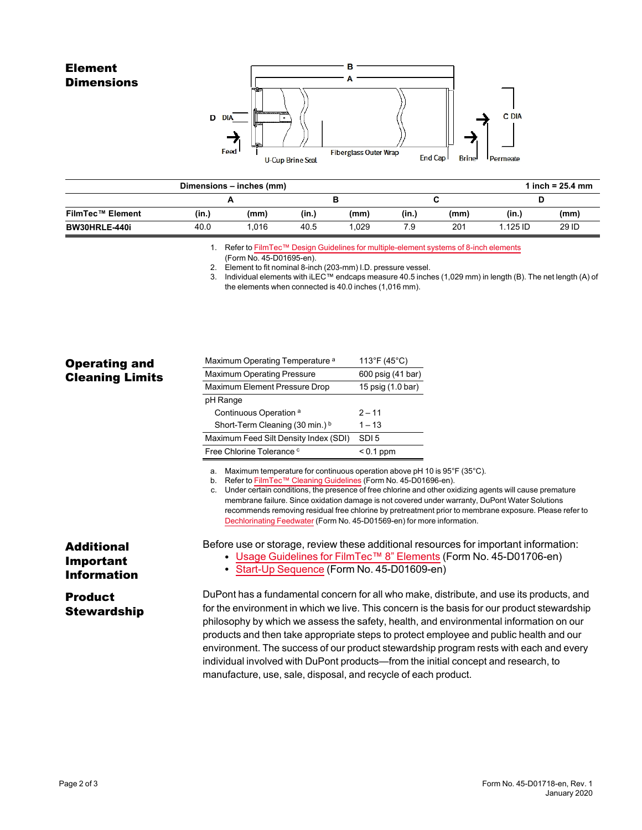## Element **Dimensions**



|                         |       | Dimensions – inches (mm) |       |      |       |      |          | 1 inch = $25.4$ mm |
|-------------------------|-------|--------------------------|-------|------|-------|------|----------|--------------------|
|                         |       |                          |       |      |       |      |          |                    |
| <b>FilmTec™ Element</b> | (in.) | (mm)                     | (in.) | (mm) | (in.) | (mm) | (in.)    | (mm)               |
| BW30HRLE-440i           | 40.0  | 1.016                    | 40.5  | .029 | 7.9   | 201  | 1.125 ID | 29 ID              |

1. Refer to FilmTec™ Design Guidelines for [multiple-element](https://www.dupont.com/content/dam/dupont/amer/us/en/water-solutions/public/documents/en/RO-NF-FilmTec-Membrane-Sys-Design-Guidelines-8inch-Manual-Exc-45-D01695-en.pdf) systems of 8-inch elements

2. Element to fit nominal 8-inch (203-mm) I.D. pressure vessel.

3. Individual elements with iLEC™ endcaps measure 40.5 inches (1,029 mm) in length (B). The net length (A) of the elements when connected is 40.0 inches (1,016 mm).

| <b>Operating and</b>   |  |
|------------------------|--|
| <b>Cleaning Limits</b> |  |

| Maximum Operating Temperature <sup>a</sup> | 113°F (45°C)      |
|--------------------------------------------|-------------------|
| <b>Maximum Operating Pressure</b>          | 600 psig (41 bar) |
| Maximum Element Pressure Drop              | 15 psig (1.0 bar) |
| pH Range                                   |                   |
| Continuous Operation <sup>a</sup>          | $2 - 11$          |
| Short-Term Cleaning (30 min.) b            | $1 - 13$          |
| Maximum Feed Silt Density Index (SDI)      | SDI <sub>5</sub>  |
| Free Chlorine Tolerance c                  | $< 0.1$ ppm       |

a. Maximum temperature for continuous operation above pH 10 is 95°F (35°C).

b. Refer to FilmTec™ Cleaning [Guidelines](https://www.dupont.com/content/dam/dupont/amer/us/en/water-solutions/public/documents/en/RO-NF-FilmTec-Cleaning-Procedures-Manual-Exc-45-D01696-en.pdf) (Form No. 45-D01696-en).

c. Under certain conditions, the presence of free chlorine and other oxidizing agents will cause premature membrane failure. Since oxidation damage is not covered under warranty, DuPont Water Solutions recommends removing residual free chlorine by pretreatment prior to membrane exposure. Please refer to [Dechlorinating](https://www.dupont.com/content/dam/dupont/amer/us/en/water-solutions/public/documents/en/RO-NF-FilmTec-Chlorination-Dechlorination-Manual-Exc-45-D01569-en.pdf) Feedwater (Form No. 45-D01569-en) for more information.

Before use or storage, review these additional resources for important information:

• Usage [Guidelines](https://www.dupont.com/content/dam/dupont/amer/us/en/water-solutions/public/documents/en/45-D01706-en.pdf) for FilmTec™ 8" Elements (Form No. 45-D01706-en)

### • Start-Up [Sequence](https://www.dupont.com/content/dam/dupont/amer/us/en/water-solutions/public/documents/en/RO-NF-FilmTec-Start-Up-Sequence-Manual-Exc-45-D01609-en.pdf) (Form No. 45-D01609-en)

DuPont has a fundamental concern for all who make, distribute, and use its products, and for the environment in which we live. This concern is the basis for our product stewardship philosophy by which we assess the safety, health, and environmental information on our products and then take appropriate steps to protect employee and public health and our environment. The success of our product stewardship program rests with each and every individual involved with DuPont products—from the initial concept and research, to manufacture, use, sale, disposal, and recycle of each product.

### Additional Important Information

### Product **Stewardship**

<sup>(</sup>Form No. 45-D01695-en).